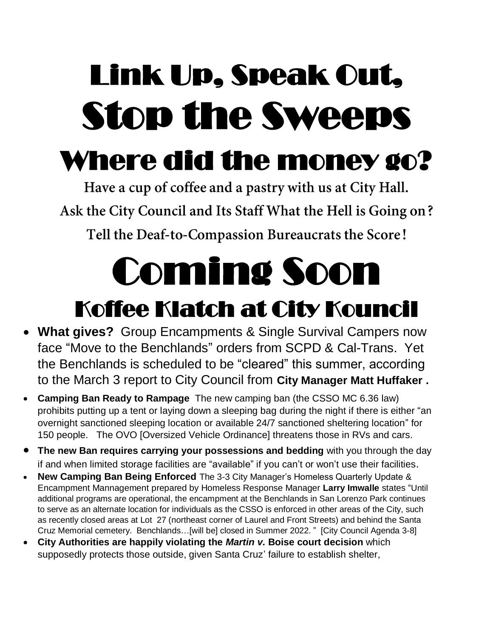## Link Up, Speak Out, Stop the Sweeps

## Where did the money go?

Have a cup of coffee and a pastry with us at City Hall. Ask the City Council and Its Staff What the Hell is Going on? Tell the Deaf-to-Compassion Bureaucrats the Score!

# Coming Soon

### Koffee Klatch at City Kouncil

- **What gives?** Group Encampments & Single Survival Campers now face "Move to the Benchlands" orders from SCPD & Cal-Trans. Yet the Benchlands is scheduled to be "cleared" this summer, according to the March 3 report to City Council from **City Manager Matt Huffaker .**
- **Camping Ban Ready to Rampage** The new camping ban (the CSSO MC 6.36 law) prohibits putting up a tent or laying down a sleeping bag during the night if there is either "an overnight sanctioned sleeping location or available 24/7 sanctioned sheltering location" for 150 people. The OVO [Oversized Vehicle Ordinance] threatens those in RVs and cars.
- **The new Ban requires carrying your possessions and bedding** with you through the day if and when limited storage facilities are "available" if you can't or won't use their facilities.
- **New Camping Ban Being Enforced** The 3-3 City Manager's Homeless Quarterly Update & Encampment Mannagement prepared by Homeless Response Manager **Larry Imwalle** states "Until additional programs are operational, the encampment at the Benchlands in San Lorenzo Park continues to serve as an alternate location for individuals as the CSSO is enforced in other areas of the City, such as recently closed areas at Lot 27 (northeast corner of Laurel and Front Streets) and behind the Santa Cruz Memorial cemetery. Benchlands…[will be] closed in Summer 2022. " [City Council Agenda 3-8]
- **City Authorities are happily violating the** *Martin v.* **Boise court decision** which supposedly protects those outside, given Santa Cruz' failure to establish shelter,